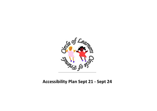

# **Accessibility Plan Sept 21 - Sept 24**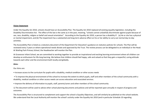#### **Vision Statement**

Under the Equality Act 2010, schools should have an Accessibility Plan. The Equality Act 2010 replaced all existing equality legislation, including the Disability Discrimination Act. The effect of the law is the same as in the past, meaning, "schools cannot unlawfully discriminate against pupils because of sex, race, disability, religion or belief and sexual orientation". According to the Equality Act 2010, a person has a disability if: (a) He or she has a physical or mental impairment, and (b) The impairment has a substantial and long-term adverse effect on his or her ability to carry out normal day-to-day activities.

The Accessibility Plan is listed as a statutory document of the Department for Education's guidance on statutory policies for schools. The Plan will be reviewed every 3 years or where operational needs dictate and approved by the Trust. The review process can be delegated to an individual or the Head. At Watling Park Primary School, the Headteacher will monitor the Plan.

At Gravesnor Infant School, we are committed to working together to provide an inspirational and exciting learning environment where all children can develop an enthusiasm for life-long learning. We believe that children should feel happy, safe and valued so that they gain a respectful, caring attitude towards each other and the environment both locally and globally.

#### **Aims:**

Our Aims are:

• Increase access to the curriculum for pupils with a disability, medical condition or other access needs

• To improve the physical environment of the school to increase the extent to which pupils, staff and other members of the school community with a disability, medical condition or other access needs can access education and associated services.

• Improve the delivery of information to pupils, staff, parents/carers and other members of the school community

1) The document will be used to advise other school planning documents and policies and will be reported upon annually in respect of progress and outcomes.

The Accessibility Plan is structured to complement and support the school is Equality Objectives, and will similarly be published on the school website. We understand that the Local Authority will monitor the school's activity under the Equality Act 2010 (and in particular Schedule 10 regarding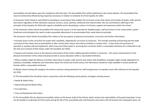Accessibility) and will advise upon the compliance with that duty. The Accessibility Plan will be published on the school website. The Accessibility Plan may be monitored by Ofsted during inspection processes in relation to Schedule 10 of the Equality Act 2010.

2) Gravesnor Infant School is committed to providing an environment that enables full curriculum access that values and includes all pupils, staff, parents and visitors regardless of their education, physical, sensory, social, spiritual, emotional and cultural needs. We are committed to adhering to the principles of the Equality Act 2010 with regard to disability and to developing a culture of inclusion, support and awareness within the school.

3) The Gravesnor Infant School Accessibility Plan shows how access is to be improved for disabled pupils, staff and visitors to the school within a given timeframe and anticipates the need to make reasonable adjustments to accommodate their needs where practicable.

The Gravesnor Infant School Accessibility Plan relates to the key aspects of physical environment, curriculum and written information:

• Increase access to the curriculum for pupils with a disability, adapting the curriculum as necessary. This includes teaching and learning and the wider curriculum of the school such as participation in after-school clubs, leisure and cultural activities or schools visits – it also covers the provision of specialist or auxiliary aids and equipment, which may assist these pupils in accessing the curriculum within a reasonable timeframe (If a school fails to do this they are in breach of their duties under the Equalities Act 2010).

• Improve and maintain access to the physical environment of the school, adding specialist facilities as necessary – this covers improvements to the physical environment of the school and physical aids to access education within a reasonable timeframe;

• Where needed, adapt the delivery of written information to pupils, staff, parents and visitors with disabilities; examples might include adaptations to handouts, timetables, textbooks and information about the school and school events; the information should be made available in various preferred formats within a reasonable timeframe.

4) Whole school training will recognise the need to continue raising awareness for staff and governors on equality issues with reference to the Equality Act 2010.

5) This Accessibility Plan should be read in conjunction with the following school policies, strategies and documents:

- Health & Safety Policy
- Special Educational Needs Policy
- First Aid Policy
- Trips and Residential Visits Policy

6) The Accessibility Plan for physical accessibility relates to the Access Audit of the School, which remains the responsibility of the governing body. It may not be feasible to undertake all of the works during the life of this accessibility plan and therefore some items will roll forward into subsequent plans. An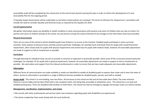accessibility audit will be completed by the school prior to the end of each period covering this plan in order to inform the development of a new Accessibility Plan for the ongoing period.

7) Equality Impact Assessments will be undertaken as and when school policies are reviewed. The terms of reference for all governors' committees will include the need to consider Equality and Diversity issues as required by the Equality Act 2010.

# **Current good practice**

We gather information about any disability or health condition in early communications with parents and carers of children who are new to school. For parents and carers of children already at the school, we ask parents to keep the school informed of any changes to the information they have provided.

## **Physical Environment**

There are no areas of the school to which disabled pupils have limited or no access at the moment. Disabled pupils participate in extra-curricular activities. Some aspects of extracurricular activities present particular challenges, for example lunch and break times for pupils with social/interaction impairments, after-school clubs for pupils with physical impairments and school trips for pupils with medical needs, however all reasonable adjustments are made to support as full an involvement as possible.

#### **Curriculum**

Through planning for individual need, we aim to provide as inclusive an approach as practically possible. Some areas of the curriculum present particular challenges, for example: PE for pupils with a physical impairment, however all reasonable adjustments are made to support as full an involvement as possible. We seek advice and support from the relevant professionals in order to ensure that we have made adequate and reasonable adjustments.

#### **Information**

Different forms of communication are made available as needs are identified to enable all disabled pupils to express their views and to hear the views of others. Access to information is provided in a range of different formats available for disabled pupils, parents and staff as needed.

**Access Audit** The school is in one building, over two floors. All entrances to the school are flat and all have wide doors fitted. The main entrance features a secure lobby and has been fitted with a low reception hatch, this being fully accessible to wheelchair users. The school has a car park and disabled parking bays. There are disabled toilet facilities on both floors. The school has internal emergency signage and escape routes are clearly marked.

#### **Management, coordination, implementation, and review**

• We consult with other professionals and services when new situations regarding pupils with disabilities are experienced.

• The Senior Leadership Team work closely with the Local Authority.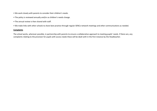- We work closely with parents to consider their children's needs.
- The policy is reviewed annually and/or as children's needs change.
- The annual review is then shared with staff.
- We make links with other schools to share best practice through regular SENCo network meetings and other communications as needed.

## **Complaints**

The school works, wherever possible, in partnership with parents to ensure a collaborative approach to meeting pupils' needs. If there are, any complaints relating to the provision for pupils with access needs these will be dealt with in the first instance by the Headteacher.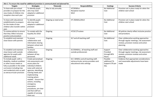| Aim 1: To ensure the need for additional provision is communicated and planned for.                                                                                                                                     |                                                                                                                                                                                                                                                                                                                                                             |                        |                                                                                                             |                                                      |                                                                                                                                           |  |  |  |
|-------------------------------------------------------------------------------------------------------------------------------------------------------------------------------------------------------------------------|-------------------------------------------------------------------------------------------------------------------------------------------------------------------------------------------------------------------------------------------------------------------------------------------------------------------------------------------------------------|------------------------|-------------------------------------------------------------------------------------------------------------|------------------------------------------------------|-------------------------------------------------------------------------------------------------------------------------------------------|--|--|--|
| <b>Targets</b>                                                                                                                                                                                                          | <b>Strategies</b>                                                                                                                                                                                                                                                                                                                                           | <b>Timescale</b>       | <b>Responsibilities</b>                                                                                     | <b>Costings</b>                                      | <b>Success Criteria</b>                                                                                                                   |  |  |  |
| To liaise with pre-school<br>providers to prepare for the<br>new intake of children into<br>reception class each year                                                                                                   | To identify pupils<br>who may need<br>adapted or additional<br>provision                                                                                                                                                                                                                                                                                    | May to July annually.  | HT/SENDco<br>Reception teacher<br><b>WLO</b>                                                                | No Additional<br>Cost                                | Provision set in place ready for when the<br>children start school                                                                        |  |  |  |
| To liaise with educational<br>establishments to prepare<br>for the intake of new<br>children who transfer within<br>year.                                                                                               | To identify pupils<br>who may need<br>adapted or additional<br>provision                                                                                                                                                                                                                                                                                    | Ongoing as need arises | HT/SENDCo/WLO                                                                                               | No Additional<br>Cost                                | Provision set in place ready for when the<br>children start school                                                                        |  |  |  |
| To review policies to ensure<br>that they reflect inclusive<br>practice and procedure                                                                                                                                   | To comply with the<br>Equality Act 2010                                                                                                                                                                                                                                                                                                                     | Ongoing                | HT/SLT/Trustees                                                                                             | No Additional<br>Cost                                | All policies clearly reflect inclusive practice<br>and procedure.                                                                         |  |  |  |
| To establish and maintain<br>close liaison with parents                                                                                                                                                                 | To ensure<br>collaboration and<br>information sharing<br>between school and<br>families.                                                                                                                                                                                                                                                                    | Ongoing                | SLT and all teaching staff                                                                                  | No Additional<br>Cost                                | Clear collaborative working approaches<br>through regular meetings, risk assessment<br>reviews, provision reviews and action<br>planning. |  |  |  |
| To establish and maintain<br>close liaison with outside<br>agencies for pupils with<br>additional needs                                                                                                                 | To ensure<br>collaboration<br>between all key<br>personnel.                                                                                                                                                                                                                                                                                                 | Ongoing                | SLT/SENDCo, all teaching staff and<br>outside professionals                                                 | Support<br>Provided<br>through BPSI<br>Hours.        | Clear collaborative working approaches<br>through regular meetings, risk assessment<br>reviews, provision reviews and action<br>planning. |  |  |  |
| To include pupils with a<br>disability, medical condition<br>or other access needs as<br>fully as possible in the wider<br>curriculum including trips<br>and residential visits as well<br>as extracurricular provision | Create personalised<br>risk assessments and<br>access plans for<br>individual children.<br>Liaise with external<br>agencies, identifying<br>training needs and<br>implementing<br>training where<br>needed. Ensure that<br>actions, including<br>emergency<br>evacuation<br>procedures, are clear<br>and that staff are<br>capable of carrying<br>them out. | Ongoing                | SLT, SENDCo and all teaching staff,<br>extracurricular service providers and<br>educational visits settings | Possible<br>additional TA<br>Support £70 per<br>day. | Evidence that appropriate considerations<br>and reasonable adjustments have been<br>made                                                  |  |  |  |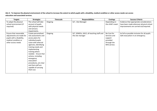**Aim 2: To improve the physical environment of the school to increase the extent to which pupils with a disability, medical condition or other access needs can access education and associated services.**

| <b>Targets</b>            | <b>Strategies</b>     | <b>Timescale</b> | <b>Responsibilities</b>                  | <b>Costings</b>   | <b>Success Criteria</b>                       |
|---------------------------|-----------------------|------------------|------------------------------------------|-------------------|-----------------------------------------------|
| To adapt the physical     | The school will take  | Ongoing          | SLT, Site Manager                        | Depending on      | Evidence that appropriate considerations      |
| school environment (if    | account of pupils     |                  |                                          | the child's need. | have been made wherever physical school       |
| required)                 | with physical needs   |                  |                                          |                   | improvements are carried out/required.        |
|                           | and sensory           |                  |                                          |                   |                                               |
|                           | Impairments.          |                  |                                          |                   |                                               |
| Ensure that reasonable    | Create personalised   | Ongoing          | SLT, SENDCo, WLO, all teaching staff and | No Cost for       | As full as possible inclusion for all pupils. |
| adjustments are made for  | risk assessments and  |                  | the site manager                         | Services and      | Safe evacuation in an emergency.              |
| pupils with a disability, | access plans for      |                  |                                          | support           |                                               |
| medical condition or      | individual pupils.    |                  |                                          | provided          |                                               |
| other access needs        | Liaise with external  |                  |                                          | through the       |                                               |
|                           | agencies, identifying |                  |                                          | NHS service.      |                                               |
|                           | training needs and    |                  |                                          |                   |                                               |
|                           | implementing          |                  |                                          |                   |                                               |
|                           | training where        |                  |                                          |                   |                                               |
|                           | needed. Ensure that   |                  |                                          |                   |                                               |
|                           | actions, including    |                  |                                          |                   |                                               |
|                           | emergency             |                  |                                          |                   |                                               |
|                           | evacuation            |                  |                                          |                   |                                               |
|                           | procedures, are clear |                  |                                          |                   |                                               |
|                           | and that staff are    |                  |                                          |                   |                                               |
|                           | capable of carrying   |                  |                                          |                   |                                               |
|                           | them out.             |                  |                                          |                   |                                               |
|                           |                       |                  |                                          |                   |                                               |